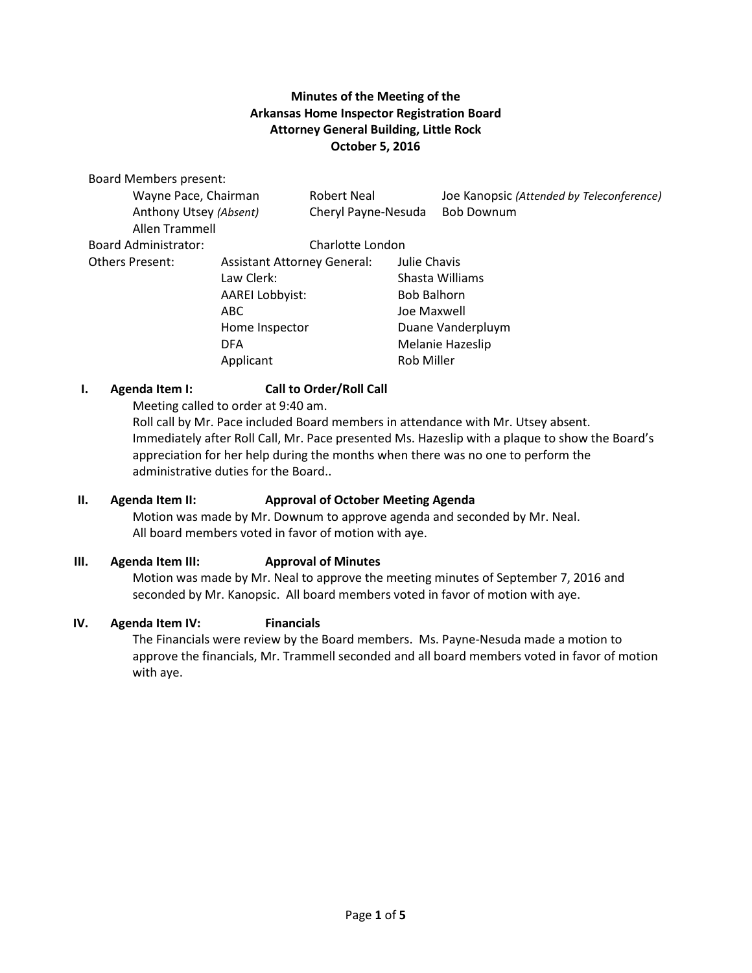# **Minutes of the Meeting of the Arkansas Home Inspector Registration Board Attorney General Building, Little Rock October 5, 2016**

Board Members present:

| Wayne Pace, Chairman        |                                    | <b>Robert Neal</b>  |                                   | Joe Kanopsic (Attended by Teleconference) |
|-----------------------------|------------------------------------|---------------------|-----------------------------------|-------------------------------------------|
| Anthony Utsey (Absent)      |                                    | Cheryl Payne-Nesuda |                                   | <b>Bob Downum</b>                         |
| Allen Trammell              |                                    |                     |                                   |                                           |
| <b>Board Administrator:</b> | Charlotte London                   |                     |                                   |                                           |
| Others Present:             | <b>Assistant Attorney General:</b> |                     | Julie Chavis                      |                                           |
|                             | Law Clerk:                         |                     | Shasta Williams                   |                                           |
|                             | <b>AAREI Lobbyist:</b><br>ABC      |                     | <b>Bob Balhorn</b><br>Joe Maxwell |                                           |
|                             |                                    |                     |                                   |                                           |
|                             | Home Inspector                     |                     | Duane Vanderpluym                 |                                           |
|                             | <b>DFA</b>                         |                     | Melanie Hazeslip                  |                                           |
|                             | Applicant                          |                     | <b>Rob Miller</b>                 |                                           |

## **I. Agenda Item I: Call to Order/Roll Call**

Meeting called to order at 9:40 am.

Roll call by Mr. Pace included Board members in attendance with Mr. Utsey absent. Immediately after Roll Call, Mr. Pace presented Ms. Hazeslip with a plaque to show the Board's appreciation for her help during the months when there was no one to perform the administrative duties for the Board..

## **II. Agenda Item II: Approval of October Meeting Agenda**

Motion was made by Mr. Downum to approve agenda and seconded by Mr. Neal. All board members voted in favor of motion with aye.

## **III. Agenda Item III: Approval of Minutes**

Motion was made by Mr. Neal to approve the meeting minutes of September 7, 2016 and seconded by Mr. Kanopsic. All board members voted in favor of motion with aye.

#### **IV. Agenda Item IV: Financials**

The Financials were review by the Board members. Ms. Payne-Nesuda made a motion to approve the financials, Mr. Trammell seconded and all board members voted in favor of motion with aye.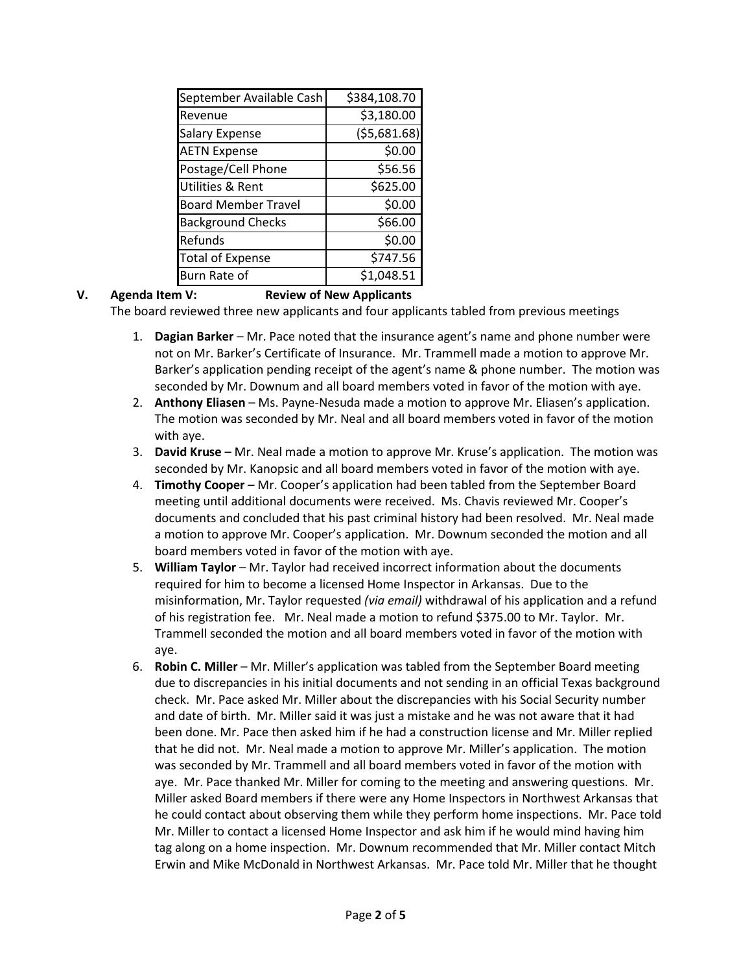| September Available Cash    | \$384,108.70 |
|-----------------------------|--------------|
| Revenue                     | \$3,180.00   |
| <b>Salary Expense</b>       | (55,681.68)  |
| <b>AETN Expense</b>         | \$0.00       |
| Postage/Cell Phone          | \$56.56      |
| <b>Utilities &amp; Rent</b> | \$625.00     |
| <b>Board Member Travel</b>  | \$0.00       |
| <b>Background Checks</b>    | \$66.00      |
| Refunds                     | \$0.00       |
| <b>Total of Expense</b>     | \$747.56     |
| Burn Rate of                | \$1,048.51   |

## **V. Agenda Item V: Review of New Applicants**

The board reviewed three new applicants and four applicants tabled from previous meetings

- 1. **Dagian Barker** Mr. Pace noted that the insurance agent's name and phone number were not on Mr. Barker's Certificate of Insurance. Mr. Trammell made a motion to approve Mr. Barker's application pending receipt of the agent's name & phone number. The motion was seconded by Mr. Downum and all board members voted in favor of the motion with aye.
- 2. **Anthony Eliasen** Ms. Payne-Nesuda made a motion to approve Mr. Eliasen's application. The motion was seconded by Mr. Neal and all board members voted in favor of the motion with aye.
- 3. **David Kruse** Mr. Neal made a motion to approve Mr. Kruse's application. The motion was seconded by Mr. Kanopsic and all board members voted in favor of the motion with aye.
- 4. **Timothy Cooper** Mr. Cooper's application had been tabled from the September Board meeting until additional documents were received. Ms. Chavis reviewed Mr. Cooper's documents and concluded that his past criminal history had been resolved. Mr. Neal made a motion to approve Mr. Cooper's application. Mr. Downum seconded the motion and all board members voted in favor of the motion with aye.
- 5. **William Taylor** Mr. Taylor had received incorrect information about the documents required for him to become a licensed Home Inspector in Arkansas. Due to the misinformation, Mr. Taylor requested *(via email)* withdrawal of his application and a refund of his registration fee. Mr. Neal made a motion to refund \$375.00 to Mr. Taylor. Mr. Trammell seconded the motion and all board members voted in favor of the motion with aye.
- 6. **Robin C. Miller** Mr. Miller's application was tabled from the September Board meeting due to discrepancies in his initial documents and not sending in an official Texas background check. Mr. Pace asked Mr. Miller about the discrepancies with his Social Security number and date of birth. Mr. Miller said it was just a mistake and he was not aware that it had been done. Mr. Pace then asked him if he had a construction license and Mr. Miller replied that he did not. Mr. Neal made a motion to approve Mr. Miller's application. The motion was seconded by Mr. Trammell and all board members voted in favor of the motion with aye. Mr. Pace thanked Mr. Miller for coming to the meeting and answering questions. Mr. Miller asked Board members if there were any Home Inspectors in Northwest Arkansas that he could contact about observing them while they perform home inspections. Mr. Pace told Mr. Miller to contact a licensed Home Inspector and ask him if he would mind having him tag along on a home inspection. Mr. Downum recommended that Mr. Miller contact Mitch Erwin and Mike McDonald in Northwest Arkansas. Mr. Pace told Mr. Miller that he thought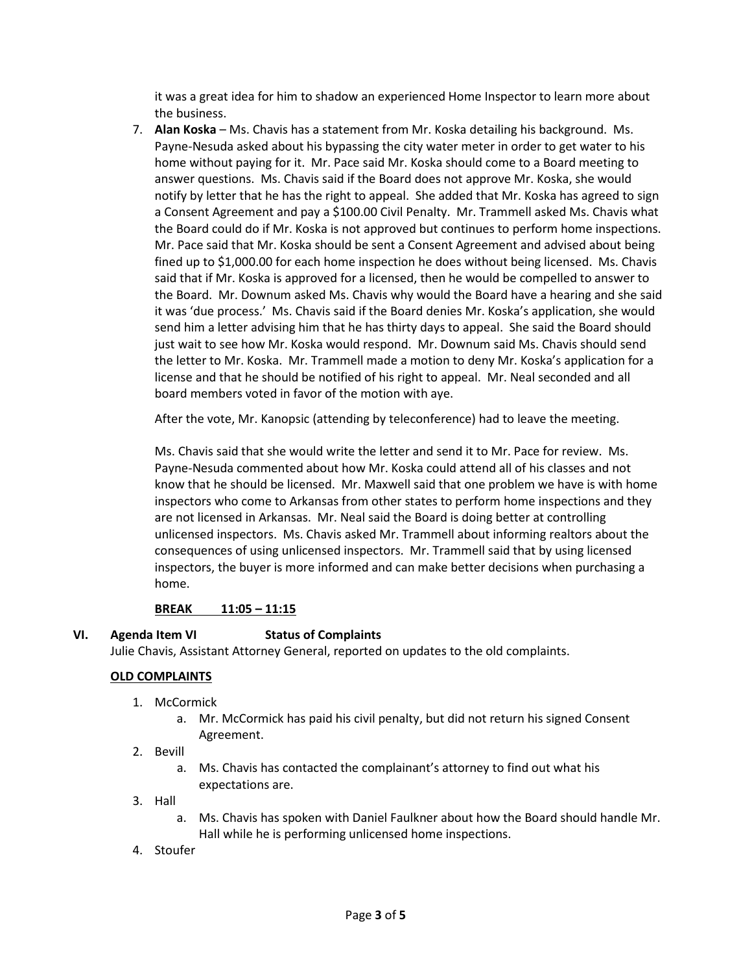it was a great idea for him to shadow an experienced Home Inspector to learn more about the business.

7. **Alan Koska** – Ms. Chavis has a statement from Mr. Koska detailing his background. Ms. Payne-Nesuda asked about his bypassing the city water meter in order to get water to his home without paying for it. Mr. Pace said Mr. Koska should come to a Board meeting to answer questions. Ms. Chavis said if the Board does not approve Mr. Koska, she would notify by letter that he has the right to appeal. She added that Mr. Koska has agreed to sign a Consent Agreement and pay a \$100.00 Civil Penalty. Mr. Trammell asked Ms. Chavis what the Board could do if Mr. Koska is not approved but continues to perform home inspections. Mr. Pace said that Mr. Koska should be sent a Consent Agreement and advised about being fined up to \$1,000.00 for each home inspection he does without being licensed. Ms. Chavis said that if Mr. Koska is approved for a licensed, then he would be compelled to answer to the Board. Mr. Downum asked Ms. Chavis why would the Board have a hearing and she said it was 'due process.' Ms. Chavis said if the Board denies Mr. Koska's application, she would send him a letter advising him that he has thirty days to appeal. She said the Board should just wait to see how Mr. Koska would respond. Mr. Downum said Ms. Chavis should send the letter to Mr. Koska. Mr. Trammell made a motion to deny Mr. Koska's application for a license and that he should be notified of his right to appeal. Mr. Neal seconded and all board members voted in favor of the motion with aye.

After the vote, Mr. Kanopsic (attending by teleconference) had to leave the meeting.

Ms. Chavis said that she would write the letter and send it to Mr. Pace for review. Ms. Payne-Nesuda commented about how Mr. Koska could attend all of his classes and not know that he should be licensed. Mr. Maxwell said that one problem we have is with home inspectors who come to Arkansas from other states to perform home inspections and they are not licensed in Arkansas. Mr. Neal said the Board is doing better at controlling unlicensed inspectors. Ms. Chavis asked Mr. Trammell about informing realtors about the consequences of using unlicensed inspectors. Mr. Trammell said that by using licensed inspectors, the buyer is more informed and can make better decisions when purchasing a home.

#### **BREAK 11:05 – 11:15**

#### **VI. Agenda Item VI Status of Complaints**

Julie Chavis, Assistant Attorney General, reported on updates to the old complaints.

#### **OLD COMPLAINTS**

- 1. McCormick
	- a. Mr. McCormick has paid his civil penalty, but did not return his signed Consent Agreement.
- 2. Bevill
	- a. Ms. Chavis has contacted the complainant's attorney to find out what his expectations are.
- 3. Hall
	- a. Ms. Chavis has spoken with Daniel Faulkner about how the Board should handle Mr. Hall while he is performing unlicensed home inspections.
- 4. Stoufer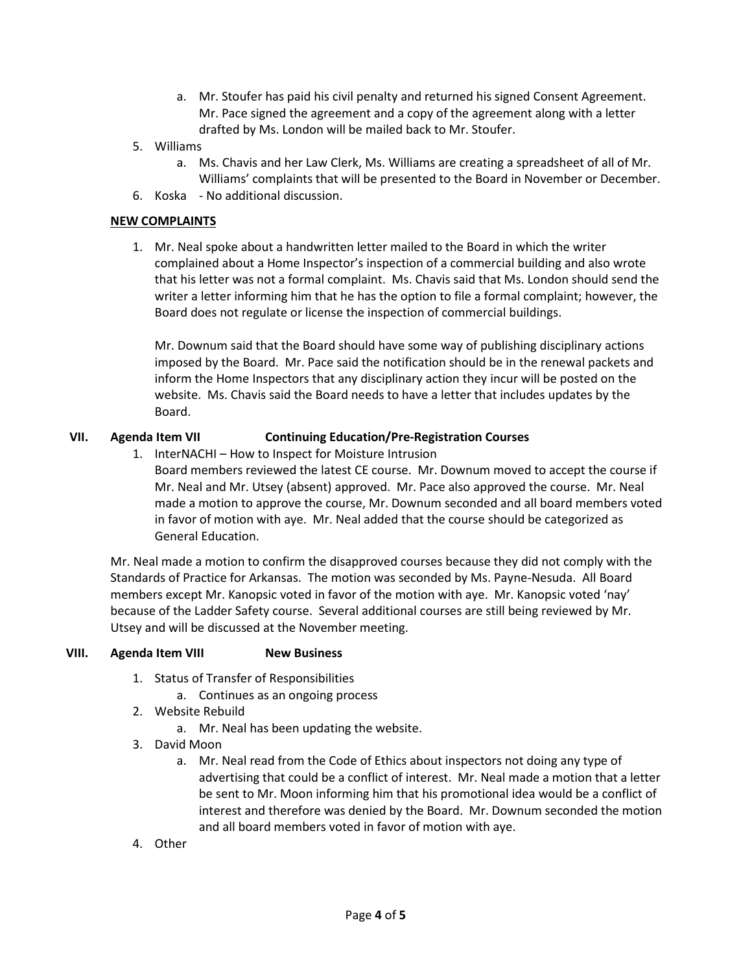- a. Mr. Stoufer has paid his civil penalty and returned his signed Consent Agreement. Mr. Pace signed the agreement and a copy of the agreement along with a letter drafted by Ms. London will be mailed back to Mr. Stoufer.
- 5. Williams
	- a. Ms. Chavis and her Law Clerk, Ms. Williams are creating a spreadsheet of all of Mr. Williams' complaints that will be presented to the Board in November or December.
- 6. Koska No additional discussion.

## **NEW COMPLAINTS**

1. Mr. Neal spoke about a handwritten letter mailed to the Board in which the writer complained about a Home Inspector's inspection of a commercial building and also wrote that his letter was not a formal complaint. Ms. Chavis said that Ms. London should send the writer a letter informing him that he has the option to file a formal complaint; however, the Board does not regulate or license the inspection of commercial buildings.

Mr. Downum said that the Board should have some way of publishing disciplinary actions imposed by the Board. Mr. Pace said the notification should be in the renewal packets and inform the Home Inspectors that any disciplinary action they incur will be posted on the website. Ms. Chavis said the Board needs to have a letter that includes updates by the Board.

## **VII. Agenda Item VII Continuing Education/Pre-Registration Courses**

1. InterNACHI – How to Inspect for Moisture Intrusion

Board members reviewed the latest CE course. Mr. Downum moved to accept the course if Mr. Neal and Mr. Utsey (absent) approved. Mr. Pace also approved the course. Mr. Neal made a motion to approve the course, Mr. Downum seconded and all board members voted in favor of motion with aye. Mr. Neal added that the course should be categorized as General Education.

Mr. Neal made a motion to confirm the disapproved courses because they did not comply with the Standards of Practice for Arkansas. The motion was seconded by Ms. Payne-Nesuda. All Board members except Mr. Kanopsic voted in favor of the motion with aye. Mr. Kanopsic voted 'nay' because of the Ladder Safety course. Several additional courses are still being reviewed by Mr. Utsey and will be discussed at the November meeting.

#### **VIII. Agenda Item VIII New Business**

- 1. Status of Transfer of Responsibilities
	- a. Continues as an ongoing process
- 2. Website Rebuild
	- a. Mr. Neal has been updating the website.
- 3. David Moon
	- a. Mr. Neal read from the Code of Ethics about inspectors not doing any type of advertising that could be a conflict of interest. Mr. Neal made a motion that a letter be sent to Mr. Moon informing him that his promotional idea would be a conflict of interest and therefore was denied by the Board. Mr. Downum seconded the motion and all board members voted in favor of motion with aye.
- 4. Other